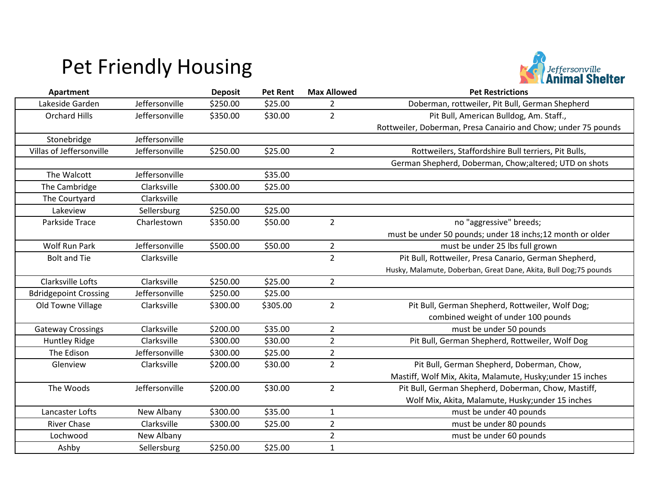## Pet Friendly Housing



| Apartment                    |                | <b>Deposit</b> | <b>Pet Rent</b> | <b>Max Allowed</b> | <b>Pet Restrictions</b>                                          |
|------------------------------|----------------|----------------|-----------------|--------------------|------------------------------------------------------------------|
| Lakeside Garden              | Jeffersonville | \$250.00       | \$25.00         | $\overline{2}$     | Doberman, rottweiler, Pit Bull, German Shepherd                  |
| <b>Orchard Hills</b>         | Jeffersonville | \$350.00       | \$30.00         | $\overline{2}$     | Pit Bull, American Bulldog, Am. Staff.,                          |
|                              |                |                |                 |                    | Rottweiler, Doberman, Presa Canairio and Chow; under 75 pounds   |
| Stonebridge                  | Jeffersonville |                |                 |                    |                                                                  |
| Villas of Jeffersonville     | Jeffersonville | \$250.00       | \$25.00         | $\overline{2}$     | Rottweilers, Staffordshire Bull terriers, Pit Bulls,             |
|                              |                |                |                 |                    | German Shepherd, Doberman, Chow; altered; UTD on shots           |
| The Walcott                  | Jeffersonville |                | \$35.00         |                    |                                                                  |
| The Cambridge                | Clarksville    | \$300.00       | \$25.00         |                    |                                                                  |
| The Courtyard                | Clarksville    |                |                 |                    |                                                                  |
| Lakeview                     | Sellersburg    | \$250.00       | \$25.00         |                    |                                                                  |
| Parkside Trace               | Charlestown    | \$350.00       | \$50.00         | $\overline{2}$     | no "aggressive" breeds;                                          |
|                              |                |                |                 |                    | must be under 50 pounds; under 18 inchs; 12 month or older       |
| <b>Wolf Run Park</b>         | Jeffersonville | \$500.00       | \$50.00         | $\overline{2}$     | must be under 25 lbs full grown                                  |
| <b>Bolt and Tie</b>          | Clarksville    |                |                 | $\overline{2}$     | Pit Bull, Rottweiler, Presa Canario, German Shepherd,            |
|                              |                |                |                 |                    | Husky, Malamute, Doberban, Great Dane, Akita, Bull Dog;75 pounds |
| Clarksville Lofts            | Clarksville    | \$250.00       | \$25.00         | $\overline{2}$     |                                                                  |
| <b>Bdridgepoint Crossing</b> | Jeffersonville | \$250.00       | \$25.00         |                    |                                                                  |
| Old Towne Village            | Clarksville    | \$300.00       | \$305.00        | $\overline{2}$     | Pit Bull, German Shepherd, Rottweiler, Wolf Dog;                 |
|                              |                |                |                 |                    | combined weight of under 100 pounds                              |
| <b>Gateway Crossings</b>     | Clarksville    | \$200.00       | \$35.00         | $\overline{2}$     | must be under 50 pounds                                          |
| <b>Huntley Ridge</b>         | Clarksville    | \$300.00       | \$30.00         | $\overline{2}$     | Pit Bull, German Shepherd, Rottweiler, Wolf Dog                  |
| The Edison                   | Jeffersonville | \$300.00       | \$25.00         | $\overline{2}$     |                                                                  |
| Glenview                     | Clarksville    | \$200.00       | \$30.00         | $\overline{2}$     | Pit Bull, German Shepherd, Doberman, Chow,                       |
|                              |                |                |                 |                    | Mastiff, Wolf Mix, Akita, Malamute, Husky; under 15 inches       |
| The Woods                    | Jeffersonville | \$200.00       | \$30.00         | $\overline{2}$     | Pit Bull, German Shepherd, Doberman, Chow, Mastiff,              |
|                              |                |                |                 |                    | Wolf Mix, Akita, Malamute, Husky; under 15 inches                |
| Lancaster Lofts              | New Albany     | \$300.00       | \$35.00         | $\mathbf{1}$       | must be under 40 pounds                                          |
| <b>River Chase</b>           | Clarksville    | \$300.00       | \$25.00         | $\overline{2}$     | must be under 80 pounds                                          |
| Lochwood                     | New Albany     |                |                 | $\overline{2}$     | must be under 60 pounds                                          |
| Ashby                        | Sellersburg    | \$250.00       | \$25.00         | $\mathbf{1}$       |                                                                  |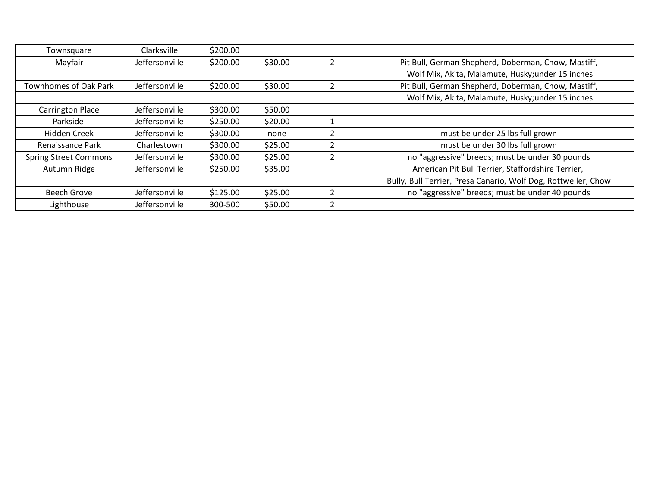| Townsquare                   | Clarksville    | \$200.00 |         |                                                                |
|------------------------------|----------------|----------|---------|----------------------------------------------------------------|
| Mayfair                      | Jeffersonville | \$200.00 | \$30.00 | Pit Bull, German Shepherd, Doberman, Chow, Mastiff,            |
|                              |                |          |         | Wolf Mix, Akita, Malamute, Husky; under 15 inches              |
| Townhomes of Oak Park        | Jeffersonville | \$200.00 | \$30.00 | Pit Bull, German Shepherd, Doberman, Chow, Mastiff,            |
|                              |                |          |         | Wolf Mix, Akita, Malamute, Husky; under 15 inches              |
| <b>Carrington Place</b>      | Jeffersonville | \$300.00 | \$50.00 |                                                                |
| Parkside                     | Jeffersonville | \$250.00 | \$20.00 |                                                                |
| Hidden Creek                 | Jeffersonville | \$300.00 | none    | must be under 25 lbs full grown                                |
| Renaissance Park             | Charlestown    | \$300.00 | \$25.00 | must be under 30 lbs full grown                                |
| <b>Spring Street Commons</b> | Jeffersonville | \$300.00 | \$25.00 | no "aggressive" breeds; must be under 30 pounds                |
| Autumn Ridge                 | Jeffersonville | \$250.00 | \$35.00 | American Pit Bull Terrier, Staffordshire Terrier,              |
|                              |                |          |         | Bully, Bull Terrier, Presa Canario, Wolf Dog, Rottweiler, Chow |
| <b>Beech Grove</b>           | Jeffersonville | \$125.00 | \$25.00 | no "aggressive" breeds; must be under 40 pounds                |
| Lighthouse                   | Jeffersonville | 300-500  | \$50.00 |                                                                |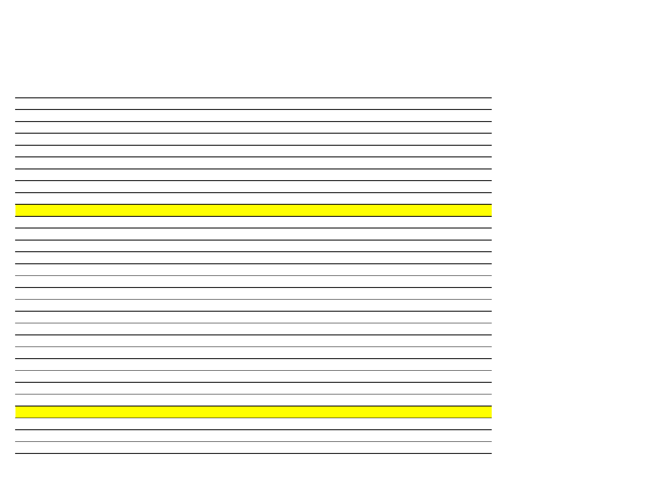